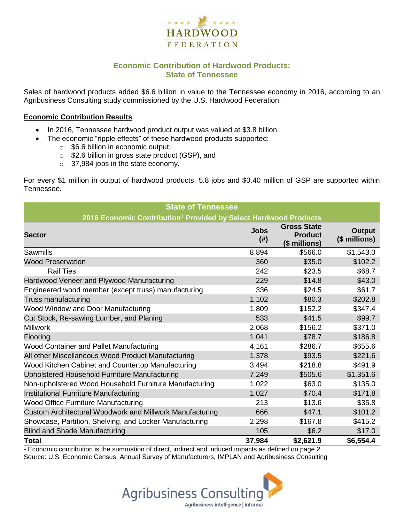

## **Economic Contribution of Hardwood Products: State of Tennessee**

Sales of hardwood products added \$6.6 billion in value to the Tennessee economy in 2016, according to an Agribusiness Consulting study commissioned by the U.S. Hardwood Federation.

#### **Economic Contribution Results**

- In 2016, Tennessee hardwood product output was valued at \$3.8 billion
	- The economic "ripple effects" of these hardwood products supported:
		- o \$6.6 billion in economic output,
		- o \$2.6 billion in gross state product (GSP), and
		- o 37,984 jobs in the state economy.

For every \$1 million in output of hardwood products, 5.8 jobs and \$0.40 million of GSP are supported within Tennessee.

| <b>State of Tennessee</b>                                                    |                       |                                                       |                                |  |  |  |  |
|------------------------------------------------------------------------------|-----------------------|-------------------------------------------------------|--------------------------------|--|--|--|--|
| 2016 Economic Contribution <sup>1</sup> Provided by Select Hardwood Products |                       |                                                       |                                |  |  |  |  |
| <b>Sector</b>                                                                | <b>Jobs</b><br>$(\#)$ | <b>Gross State</b><br><b>Product</b><br>(\$ millions) | <b>Output</b><br>(\$ millions) |  |  |  |  |
| Sawmills                                                                     | 8,894                 | \$566.0                                               | \$1,543.0                      |  |  |  |  |
| <b>Wood Preservation</b>                                                     | 360                   | \$35.0                                                | \$102.2                        |  |  |  |  |
| <b>Rail Ties</b>                                                             | 242                   | \$23.5                                                | \$68.7                         |  |  |  |  |
| Hardwood Veneer and Plywood Manufacturing                                    | 229                   | \$14.8                                                | \$43.0                         |  |  |  |  |
| Engineered wood member (except truss) manufacturing                          | 336                   | \$24.5                                                | \$61.7                         |  |  |  |  |
| Truss manufacturing                                                          | 1,102                 | \$80.3                                                | \$202.8                        |  |  |  |  |
| Wood Window and Door Manufacturing                                           | 1,809                 | \$152.2                                               | \$347.4                        |  |  |  |  |
| Cut Stock, Re-sawing Lumber, and Planing                                     | 533                   | \$41.5                                                | \$99.7                         |  |  |  |  |
| <b>Millwork</b>                                                              | 2,068                 | \$156.2                                               | \$371.0                        |  |  |  |  |
| Flooring                                                                     | 1,041                 | \$78.7                                                | \$186.8                        |  |  |  |  |
| Wood Container and Pallet Manufacturing                                      | 4,161                 | \$286.7                                               | \$655.6                        |  |  |  |  |
| All other Miscellaneous Wood Product Manufacturing                           | 1,378                 | \$93.5                                                | \$221.6                        |  |  |  |  |
| Wood Kitchen Cabinet and Countertop Manufacturing                            | 3,494                 | \$218.8                                               | \$491.9                        |  |  |  |  |
| Upholstered Household Furniture Manufacturing                                | 7,249                 | \$505.6                                               | \$1,351.6                      |  |  |  |  |
| Non-upholstered Wood Household Furniture Manufacturing                       | 1,022                 | \$63.0                                                | \$135.0                        |  |  |  |  |
| Institutional Furniture Manufacturing                                        | 1,027                 | \$70.4                                                | \$171.8                        |  |  |  |  |
| <b>Wood Office Furniture Manufacturing</b>                                   | 213                   | \$13.6                                                | \$35.8                         |  |  |  |  |
| Custom Architectural Woodwork and Millwork Manufacturing                     | 666                   | \$47.1                                                | \$101.2                        |  |  |  |  |
| Showcase, Partition, Shelving, and Locker Manufacturing                      | 2,298                 | \$167.8                                               | \$415.2                        |  |  |  |  |
| <b>Blind and Shade Manufacturing</b>                                         | 105                   | \$6.2                                                 | \$17.0                         |  |  |  |  |
| Total                                                                        | 37,984                | \$2,621.9                                             | \$6,554.4                      |  |  |  |  |

 $1$  Economic contribution is the summation of direct, indirect and induced impacts as defined on page 2. Source: U.S. Economic Census, Annual Survey of Manufacturers, IMPLAN and Agribusiness Consulting